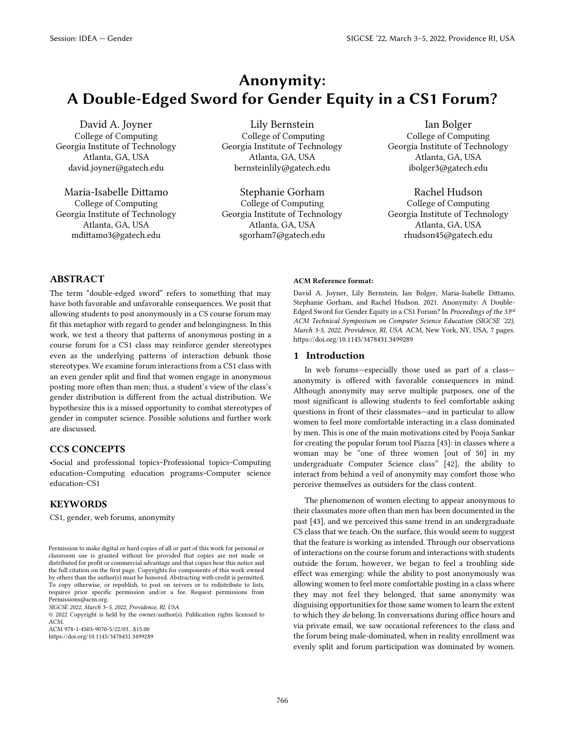# Anonymity: A Double-Edged Sword for Gender Equity in a CS1 Forum?

David A. Joyner College of Computing Georgia Institute of Technology Atlanta, GA, USA david.joyner@gatech.edu

Maria-Isabelle Dittamo College of Computing Georgia Institute of Technology Atlanta, GA, USA mdittamo3@gatech.edu

Lily Bernstein College of Computing Georgia Institute of Technology Atlanta, GA, USA bernsteinlily@gatech.edu

Stephanie Gorham College of Computing Georgia Institute of Technology Atlanta, GA, USA sgorham7@gatech.edu

Ian Bolger College of Computing Georgia Institute of Technology Atlanta, GA, USA ibolger3@gatech.edu

Rachel Hudson College of Computing Georgia Institute of Technology Atlanta, GA, USA rhudson45@gatech.edu

# ABSTRACT

The term "double-edged sword" refers to something that may have both favorable and unfavorable consequences. We posit that allowing students to post anonymously in a CS course forum may fit this metaphor with regard to gender and belongingness. In this work, we test a theory that patterns of anonymous posting in a course forum for a CS1 class may reinforce gender stereotypes even as the underlying patterns of interaction debunk those stereotypes. We examine forum interactions from a CS1 class with an even gender split and find that women engage in anonymous posting more often than men; thus, a student's view of the class's gender distribution is different from the actual distribution. We hypothesize this is a missed opportunity to combat stereotypes of gender in computer science. Possible solutions and further work are discussed.

# CCS CONCEPTS

•Social and professional topics~Professional topics~Computing education~Computing education programs~Computer science education~CS1

# KEYWORDS

CS1, gender, web forums, anonymity

*SIGCSE 2022, March 3–5, 2022, Providence, RI, USA*

© 2022 Copyright is held by the owner/author(s). Publication rights licensed to ACM.

ACM 978-1-4503-9070-5/22/03…\$15.00

https://doi.org/10.1145/3478431.3499289

#### ACM Reference format:

David A. Joyner, Lily Bernstein, Ian Bolger, Maria-Isabelle Dittamo, Stephanie Gorham, and Rachel Hudson. 2021. Anonymity: A Double-Edged Sword for Gender Equity in a CS1 Forum? In *Proceedings of the 53rd ACM Technical Symposium on Computer Science Education (SIGCSE '22), March 3-5, 2022, Providence, RI, USA.* ACM, New York, NY, USA, 7 pages. https://doi.org/10.1145/3478431.3499289

#### 1 Introduction

In web forums—especially those used as part of a class anonymity is offered with favorable consequences in mind. Although anonymity may serve multiple purposes, one of the most significant is allowing students to feel comfortable asking questions in front of their classmates—and in particular to allow women to feel more comfortable interacting in a class dominated by men. This is one of the main motivations cited by Pooja Sankar for creating the popular forum tool Piazza [\[43\]:](#page-6-0) in classes where a woman may be "one of three women [out of 50] in my undergraduate Computer Science class" [\[42\],](#page-6-1) the ability to interact from behind a veil of anonymity may comfort those who perceive themselves as outsiders for the class content.

The phenomenon of women electing to appear anonymous to their classmates more often than men has been documented in the past [\[43\],](#page-6-0) and we perceived this same trend in an undergraduate CS class that we teach. On the surface, this would seem to suggest that the feature is working as intended. Through our observations of interactions on the course forum and interactions with students outside the forum, however, we began to feel a troubling side effect was emerging: while the ability to post anonymously was allowing women to feel more comfortable posting in a class where they may not feel they belonged, that same anonymity was disguising opportunities for those same women to learn the extent to which they *do* belong. In conversations during office hours and via private email, we saw occasional references to the class and the forum being male-dominated, when in reality enrollment was evenly split and forum participation was dominated by women.

Permission to make digital or hard copies of all or part of this work for personal or classroom use is granted without fee provided that copies are not made or distributed for profit or commercial advantage and that copies bear this notice and the full citation on the first page. Copyrights for components of this work owned by others than the author(s) must be honored. Abstracting with credit is permitted. To copy otherwise, or republish, to post on servers or to redistribute to lists, requires prior specific permission and/or a fee. Request permissions from Permissions@acm.org.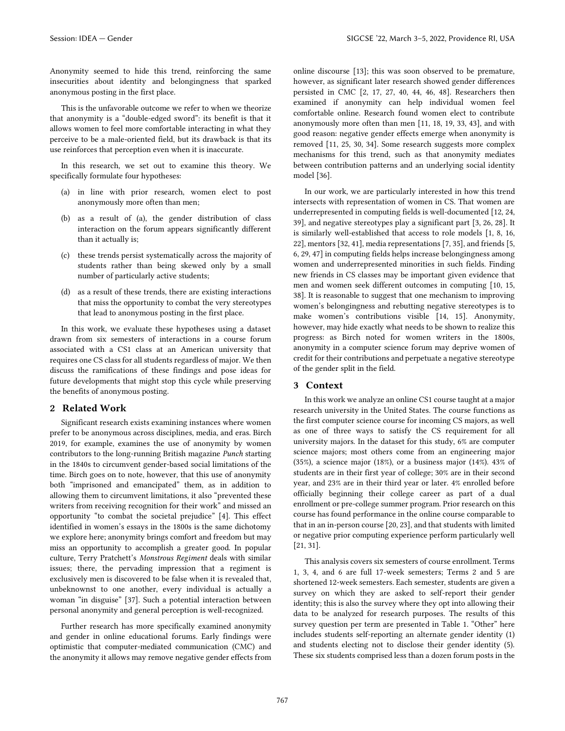Anonymity seemed to hide this trend, reinforcing the same insecurities about identity and belongingness that sparked anonymous posting in the first place.

This is the unfavorable outcome we refer to when we theorize that anonymity is a "double-edged sword": its benefit is that it allows women to feel more comfortable interacting in what they perceive to be a male-oriented field, but its drawback is that its use reinforces that perception even when it is inaccurate.

In this research, we set out to examine this theory. We specifically formulate four hypotheses:

- (a) in line with prior research, women elect to post anonymously more often than men;
- (b) as a result of (a), the gender distribution of class interaction on the forum appears significantly different than it actually is;
- (c) these trends persist systematically across the majority of students rather than being skewed only by a small number of particularly active students;
- (d) as a result of these trends, there are existing interactions that miss the opportunity to combat the very stereotypes that lead to anonymous posting in the first place.

In this work, we evaluate these hypotheses using a dataset drawn from six semesters of interactions in a course forum associated with a CS1 class at an American university that requires one CS class for all students regardless of major. We then discuss the ramifications of these findings and pose ideas for future developments that might stop this cycle while preserving the benefits of anonymous posting.

#### 2 Related Work

Significant research exists examining instances where women prefer to be anonymous across disciplines, media, and eras. Birch 2019, for example, examines the use of anonymity by women contributors to the long-running British magazine *Punch* starting in the 1840s to circumvent gender-based social limitations of the time. Birch goes on to note, however, that this use of anonymity both "imprisoned and emancipated" them, as in addition to allowing them to circumvent limitations, it also "prevented these writers from receiving recognition for their work" and missed an opportunity "to combat the societal prejudice" [\[4\].](#page-6-2) This effect identified in women's essays in the 1800s is the same dichotomy we explore here; anonymity brings comfort and freedom but may miss an opportunity to accomplish a greater good. In popular culture, Terry Pratchett's *Monstrous Regiment* deals with similar issues; there, the pervading impression that a regiment is exclusively men is discovered to be false when it is revealed that, unbeknownst to one another, every individual is actually a woman "in disguise" [\[37\].](#page-6-3) Such a potential interaction between personal anonymity and general perception is well-recognized.

Further research has more specifically examined anonymity and gender in online educational forums. Early findings were optimistic that computer-mediated communication (CMC) and the anonymity it allows may remove negative gender effects from

online discourse [\[13\];](#page-6-4) this was soon observed to be premature, however, as significant later research showed gender differences persisted in CMC [2, 17, 27, 40, 44, 46, 48]. Researchers then examined if anonymity can help individual women feel comfortable online. Research found women elect to contribute anonymously more often than men [11, 18, 19, 33, 43], and with good reason: negative gender effects emerge when anonymity is removed [11, 25, 30, 34]. Some research suggests more complex mechanisms for this trend, such as that anonymity mediates between contribution patterns and an underlying social identity model [\[36\].](#page-6-5)

In our work, we are particularly interested in how this trend intersects with representation of women in CS. That women are underrepresented in computing fields is well-documented [12, 24, 39], and negative stereotypes play a significant part [3, 26, 28]. It is similarly well-established that access to role models [1, 8, 16, 22], mentors [32, 41], media representations [7, 35], and friends [5, 6, 29, 47] in computing fields helps increase belongingness among women and underrepresented minorities in such fields. Finding new friends in CS classes may be important given evidence that men and women seek different outcomes in computing [10, 15, 38]. It is reasonable to suggest that one mechanism to improving women's belongingness and rebutting negative stereotypes is to make women's contributions visible [14, 15]. Anonymity, however, may hide exactly what needs to be shown to realize this progress: as Birch noted for women writers in the 1800s, anonymity in a computer science forum may deprive women of credit for their contributions and perpetuate a negative stereotype of the gender split in the field.

# 3 Context

In this work we analyze an online CS1 course taught at a major research university in the United States. The course functions as the first computer science course for incoming CS majors, as well as one of three ways to satisfy the CS requirement for all university majors. In the dataset for this study, 6% are computer science majors; most others come from an engineering major (35%), a science major (18%), or a business major (14%). 43% of students are in their first year of college; 30% are in their second year, and 23% are in their third year or later. 4% enrolled before officially beginning their college career as part of a dual enrollment or pre-college summer program. Prior research on this course has found performance in the online course comparable to that in an in-person course [20, 23], and that students with limited or negative prior computing experience perform particularly well [21, 31].

This analysis covers six semesters of course enrollment. Terms 1, 3, 4, and 6 are full 17-week semesters; Terms 2 and 5 are shortened 12-week semesters. Each semester, students are given a survey on which they are asked to self-report their gender identity; this is also the survey where they opt into allowing their data to be analyzed for research purposes. The results of this survey question per term are presented in Table 1. "Other" here includes students self-reporting an alternate gender identity (1) and students electing not to disclose their gender identity (5). These six students comprised less than a dozen forum posts in the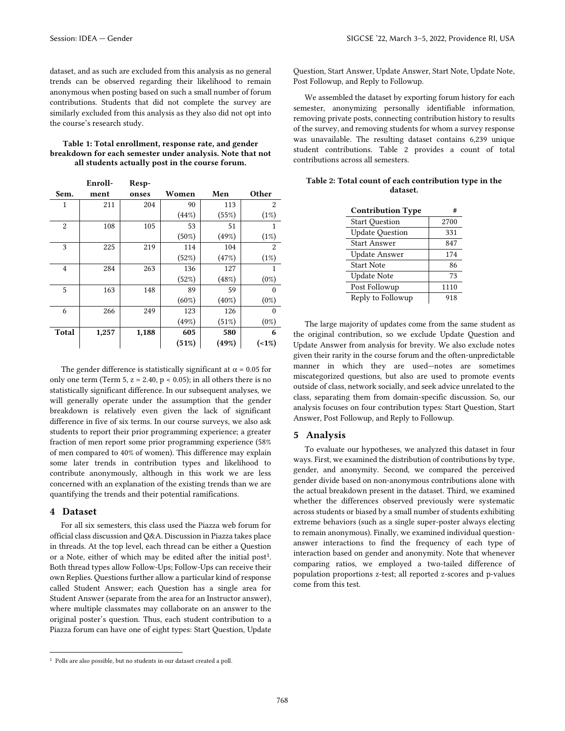dataset, and as such are excluded from this analysis as no general trends can be observed regarding their likelihood to remain anonymous when posting based on such a small number of forum contributions. Students that did not complete the survey are similarly excluded from this analysis as they also did not opt into the course's research study.

| Table 1: Total enrollment, response rate, and gender      |
|-----------------------------------------------------------|
| breakdown for each semester under analysis. Note that not |
| all students actually post in the course forum.           |

|                | Enroll- | Resp- |          |          |          |
|----------------|---------|-------|----------|----------|----------|
| Sem.           | ment    | onses | Women    | Men      | Other    |
| 1              | 211     | 204   | 90       | 113      | 2        |
|                |         |       | (44%)    | (55%)    | (1%)     |
| $\overline{2}$ | 108     | 105   | 53       | 51       | 1        |
|                |         |       | $(50\%)$ | (49%)    | (1%)     |
| 3              | 225     | 219   | 114      | 104      | 2        |
|                |         |       | (52%)    | (47%)    | (1%)     |
| $\overline{4}$ | 284     | 263   | 136      | 127      | 1        |
|                |         |       | (52%)    | (48%)    | $(0\%)$  |
| 5              | 163     | 148   | 89       | 59       | $\Omega$ |
|                |         |       | $(60\%)$ | $(40\%)$ | $(0\%)$  |
| 6              | 266     | 249   | 123      | 126      | $\Omega$ |
|                |         |       | (49%)    | (51%)    | $(0\%)$  |
| <b>Total</b>   | 1,257   | 1,188 | 605      | 580      | 6        |
|                |         |       | (51%)    | (49%)    | $(-1%)$  |

The gender difference is statistically significant at  $\alpha$  = 0.05 for only one term (Term 5,  $z = 2.40$ ,  $p < 0.05$ ); in all others there is no statistically significant difference. In our subsequent analyses, we will generally operate under the assumption that the gender breakdown is relatively even given the lack of significant difference in five of six terms. In our course surveys, we also ask students to report their prior programming experience; a greater fraction of men report some prior programming experience (58% of men compared to 40% of women). This difference may explain some later trends in contribution types and likelihood to contribute anonymously, although in this work we are less concerned with an explanation of the existing trends than we are quantifying the trends and their potential ramifications.

#### 4 Dataset

For all six semesters, this class used the Piazza web forum for official class discussion and Q&A. Discussion in Piazza takes place in threads. At the top level, each thread can be either a Question or a Note, either of which may be edited after the initial post<sup>1</sup>. Both thread types allow Follow-Ups; Follow-Ups can receive their own Replies. Questions further allow a particular kind of response called Student Answer; each Question has a single area for Student Answer (separate from the area for an Instructor answer), where multiple classmates may collaborate on an answer to the original poster's question. Thus, each student contribution to a Piazza forum can have one of eight types: Start Question, Update

Question, Start Answer, Update Answer, Start Note, Update Note, Post Followup, and Reply to Followup.

We assembled the dataset by exporting forum history for each semester, anonymizing personally identifiable information, removing private posts, connecting contribution history to results of the survey, and removing students for whom a survey response was unavailable. The resulting dataset contains 6,239 unique student contributions. Table 2 provides a count of total contributions across all semesters.

| Table 2: Total count of each contribution type in the |  |
|-------------------------------------------------------|--|
| dataset.                                              |  |

| <b>Contribution Type</b> | #    |
|--------------------------|------|
| <b>Start Question</b>    | 2700 |
| <b>Update Question</b>   | 331  |
| Start Answer             | 847  |
| Update Answer            | 174  |
| <b>Start Note</b>        | 86   |
| Update Note              | 73   |
| Post Followup            | 1110 |
| Reply to Followup        | 918  |

The large majority of updates come from the same student as the original contribution, so we exclude Update Question and Update Answer from analysis for brevity. We also exclude notes given their rarity in the course forum and the often-unpredictable manner in which they are used—notes are sometimes miscategorized questions, but also are used to promote events outside of class, network socially, and seek advice unrelated to the class, separating them from domain-specific discussion. So, our analysis focuses on four contribution types: Start Question, Start Answer, Post Followup, and Reply to Followup.

# 5 Analysis

To evaluate our hypotheses, we analyzed this dataset in four ways. First, we examined the distribution of contributions by type, gender, and anonymity. Second, we compared the perceived gender divide based on non-anonymous contributions alone with the actual breakdown present in the dataset. Third, we examined whether the differences observed previously were systematic across students or biased by a small number of students exhibiting extreme behaviors (such as a single super-poster always electing to remain anonymous). Finally, we examined individual questionanswer interactions to find the frequency of each type of interaction based on gender and anonymity. Note that whenever comparing ratios, we employed a two-tailed difference of population proportions z-test; all reported z-scores and p-values come from this test.

<sup>&</sup>lt;sup>1</sup> Polls are also possible, but no students in our dataset created a poll.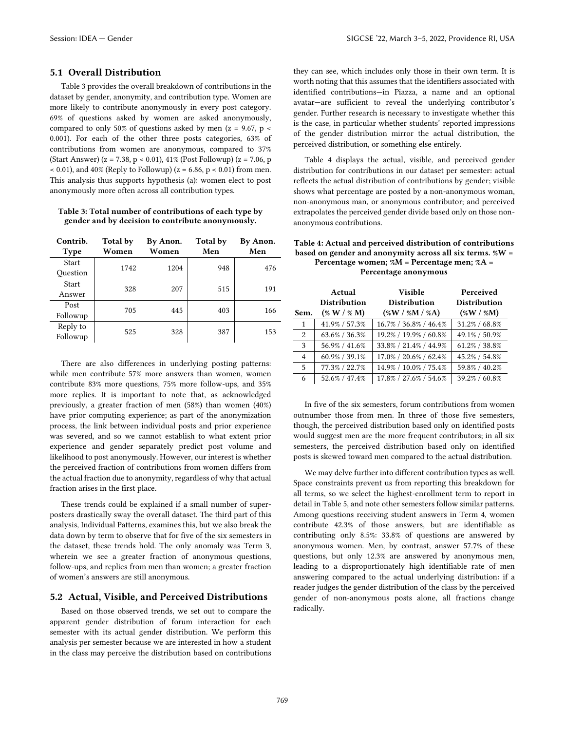# 5.1 Overall Distribution

Table 3 provides the overall breakdown of contributions in the dataset by gender, anonymity, and contribution type. Women are more likely to contribute anonymously in every post category. 69% of questions asked by women are asked anonymously, compared to only 50% of questions asked by men ( $z = 9.67$ ,  $p \le$ 0.001). For each of the other three posts categories, 63% of contributions from women are anonymous, compared to 37% (Start Answer) (z = 7.38, p < 0.01), 41% (Post Followup) (z = 7.06, p  $(0.01)$ , and 40% (Reply to Followup) (z = 6.86, p < 0.01) from men. This analysis thus supports hypothesis (a): women elect to post anonymously more often across all contribution types.

#### Table 3: Total number of contributions of each type by gender and by decision to contribute anonymously.

| Contrib.<br><b>Type</b> | Total by<br>Women | By Anon.<br>Women | <b>Total by</b><br>Men | By Anon.<br>Men |
|-------------------------|-------------------|-------------------|------------------------|-----------------|
| Start<br>Ouestion       | 1742              | 1204              | 948                    | 476             |
| Start<br>Answer         | 328               | 207               | 515                    | 191             |
| Post<br>Followup        | 705               | 445               | 403                    | 166             |
| Reply to<br>Followup    | 525               | 328               | 387                    | 153             |

There are also differences in underlying posting patterns: while men contribute 57% more answers than women, women contribute 83% more questions, 75% more follow-ups, and 35% more replies. It is important to note that, as acknowledged previously, a greater fraction of men (58%) than women (40%) have prior computing experience; as part of the anonymization process, the link between individual posts and prior experience was severed, and so we cannot establish to what extent prior experience and gender separately predict post volume and likelihood to post anonymously. However, our interest is whether the perceived fraction of contributions from women differs from the actual fraction due to anonymity, regardless of why that actual fraction arises in the first place.

These trends could be explained if a small number of superposters drastically sway the overall dataset. The third part of this analysis, Individual Patterns, examines this, but we also break the data down by term to observe that for five of the six semesters in the dataset, these trends hold. The only anomaly was Term 3, wherein we see a greater fraction of anonymous questions, follow-ups, and replies from men than women; a greater fraction of women's answers are still anonymous.

## 5.2 Actual, Visible, and Perceived Distributions

Based on those observed trends, we set out to compare the apparent gender distribution of forum interaction for each semester with its actual gender distribution. We perform this analysis per semester because we are interested in how a student in the class may perceive the distribution based on contributions

they can see, which includes only those in their own term. It is worth noting that this assumes that the identifiers associated with identified contributions—in Piazza, a name and an optional avatar—are sufficient to reveal the underlying contributor's gender. Further research is necessary to investigate whether this is the case, in particular whether students' reported impressions of the gender distribution mirror the actual distribution, the perceived distribution, or something else entirely.

Table 4 displays the actual, visible, and perceived gender distribution for contributions in our dataset per semester: actual reflects the actual distribution of contributions by gender; visible shows what percentage are posted by a non-anonymous woman, non-anonymous man, or anonymous contributor; and perceived extrapolates the perceived gender divide based only on those nonanonymous contributions.

#### Table 4: Actual and perceived distribution of contributions based on gender and anonymity across all six terms. %W = Percentage women; %M = Percentage men; %A = Percentage anonymous

|              | Actual<br><b>Distribution</b> | <b>Visible</b><br><b>Distribution</b> | Perceived<br><b>Distribution</b> |
|--------------|-------------------------------|---------------------------------------|----------------------------------|
| Sem.         | ( % W / % M)                  | $($ %W / %M / %A)                     | ( %W / %M)                       |
| $\mathbf{1}$ | 41.9% / 57.3%                 | 16.7% / 36.8% / 46.4%                 | 31.2% / 68.8%                    |
| 2            | $63.6\% / 36.3\%$             | 19.2% / 19.9% / 60.8%                 | 49.1% / 50.9%                    |
| 3            | 56.9% / 41.6%                 | 33.8% / 21.4% / 44.9%                 | 61.2% / 38.8%                    |
| 4            | 60.9% / 39.1%                 | $17.0\%$ / $20.6\%$ / $62.4\%$        | 45.2% / 54.8%                    |
| 5            | 77.3% / 22.7%                 | 14.9% / 10.0% / 75.4%                 | 59.8% / 40.2%                    |
| 6            | 52.6% / 47.4%                 | 17.8% / 27.6% / 54.6%                 | 39.2% / 60.8%                    |

In five of the six semesters, forum contributions from women outnumber those from men. In three of those five semesters, though, the perceived distribution based only on identified posts would suggest men are the more frequent contributors; in all six semesters, the perceived distribution based only on identified posts is skewed toward men compared to the actual distribution.

We may delve further into different contribution types as well. Space constraints prevent us from reporting this breakdown for all terms, so we select the highest-enrollment term to report in detail in Table 5, and note other semesters follow similar patterns. Among questions receiving student answers in Term 4, women contribute 42.3% of those answers, but are identifiable as contributing only 8.5%: 33.8% of questions are answered by anonymous women. Men, by contrast, answer 57.7% of these questions, but only 12.3% are answered by anonymous men, leading to a disproportionately high identifiable rate of men answering compared to the actual underlying distribution: if a reader judges the gender distribution of the class by the perceived gender of non-anonymous posts alone, all fractions change radically.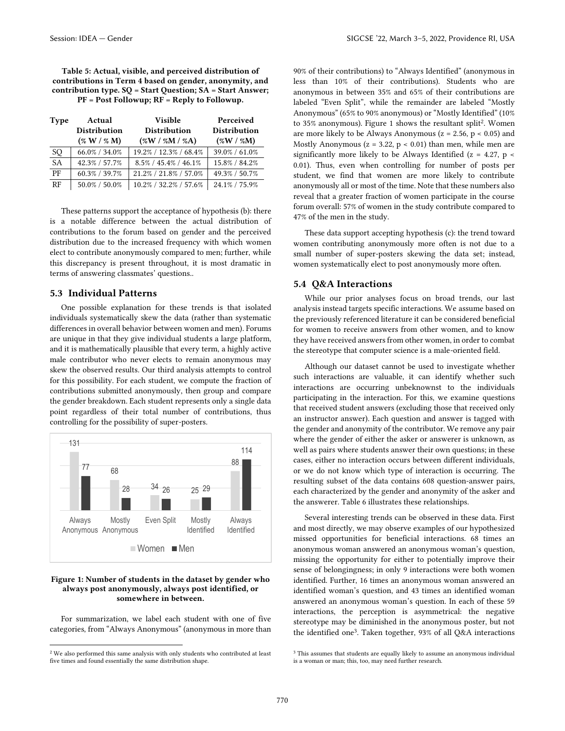Table 5: Actual, visible, and perceived distribution of contributions in Term 4 based on gender, anonymity, and contribution type. SQ = Start Question; SA = Start Answer; PF = Post Followup; RF = Reply to Followup.

| <b>Type</b> | Actual<br><b>Distribution</b><br>( % W / % M) | <b>Visible</b><br><b>Distribution</b><br>$(\%W / \%M / \%A)$ | Perceived<br><b>Distribution</b><br>( %W / %M) |
|-------------|-----------------------------------------------|--------------------------------------------------------------|------------------------------------------------|
| SQ          | 66.0% / 34.0%                                 | 19.2% / 12.3% / 68.4%                                        | 39.0% / 61.0%                                  |
| <b>SA</b>   | 42.3% / 57.7%                                 | $8.5\% / 45.4\% / 46.1\%$                                    | 15.8% / 84.2%                                  |
| PF          | $60.3\% / 39.7\%$                             | 21.2% / 21.8% / 57.0%                                        | 49.3% / 50.7%                                  |
| RF          | $50.0\%$ / $50.0\%$                           | 10.2% / 32.2% / 57.6%                                        | 24.1% / 75.9%                                  |

These patterns support the acceptance of hypothesis (b): there is a notable difference between the actual distribution of contributions to the forum based on gender and the perceived distribution due to the increased frequency with which women elect to contribute anonymously compared to men; further, while this discrepancy is present throughout, it is most dramatic in terms of answering classmates' questions..

## 5.3 Individual Patterns

One possible explanation for these trends is that isolated individuals systematically skew the data (rather than systematic differences in overall behavior between women and men). Forums are unique in that they give individual students a large platform, and it is mathematically plausible that every term, a highly active male contributor who never elects to remain anonymous may skew the observed results. Our third analysis attempts to control for this possibility. For each student, we compute the fraction of contributions submitted anonymously, then group and compare the gender breakdown. Each student represents only a single data point regardless of their total number of contributions, thus controlling for the possibility of super-posters.



#### Figure 1: Number of students in the dataset by gender who always post anonymously, always post identified, or somewhere in between.

For summarization, we label each student with one of five categories, from "Always Anonymous" (anonymous in more than

90% of their contributions) to "Always Identified" (anonymous in less than 10% of their contributions). Students who are anonymous in between 35% and 65% of their contributions are labeled "Even Split", while the remainder are labeled "Mostly Anonymous" (65% to 90% anonymous) or "Mostly Identified" (10% to 35% anonymous). Figure 1 shows the resultant split<sup>2</sup>. Women are more likely to be Always Anonymous ( $z = 2.56$ ,  $p < 0.05$ ) and Mostly Anonymous ( $z = 3.22$ ,  $p < 0.01$ ) than men, while men are significantly more likely to be Always Identified ( $z = 4.27$ ,  $p \le$ 0.01). Thus, even when controlling for number of posts per student, we find that women are more likely to contribute anonymously all or most of the time. Note that these numbers also reveal that a greater fraction of women participate in the course forum overall: 57% of women in the study contribute compared to 47% of the men in the study.

These data support accepting hypothesis (c): the trend toward women contributing anonymously more often is not due to a small number of super-posters skewing the data set; instead, women systematically elect to post anonymously more often.

# 5.4 Q&A Interactions

While our prior analyses focus on broad trends, our last analysis instead targets specific interactions. We assume based on the previously referenced literature it can be considered beneficial for women to receive answers from other women, and to know they have received answers from other women, in order to combat the stereotype that computer science is a male-oriented field.

Although our dataset cannot be used to investigate whether such interactions are valuable, it can identify whether such interactions are occurring unbeknownst to the individuals participating in the interaction. For this, we examine questions that received student answers (excluding those that received only an instructor answer). Each question and answer is tagged with the gender and anonymity of the contributor. We remove any pair where the gender of either the asker or answerer is unknown, as well as pairs where students answer their own questions; in these cases, either no interaction occurs between different individuals, or we do not know which type of interaction is occurring. The resulting subset of the data contains 608 question-answer pairs, each characterized by the gender and anonymity of the asker and the answerer. Table 6 illustrates these relationships.

Several interesting trends can be observed in these data. First and most directly, we may observe examples of our hypothesized missed opportunities for beneficial interactions. 68 times an anonymous woman answered an anonymous woman's question, missing the opportunity for either to potentially improve their sense of belongingness; in only 9 interactions were both women identified. Further, 16 times an anonymous woman answered an identified woman's question, and 43 times an identified woman answered an anonymous woman's question. In each of these 59 interactions, the perception is asymmetrical: the negative stereotype may be diminished in the anonymous poster, but not the identified one<sup>3</sup> . Taken together, 93% of all Q&A interactions

<sup>2</sup> We also performed this same analysis with only students who contributed at least five times and found essentially the same distribution shape.

<sup>&</sup>lt;sup>3</sup> This assumes that students are equally likely to assume an anonymous individual is a woman or man; this, too, may need further research.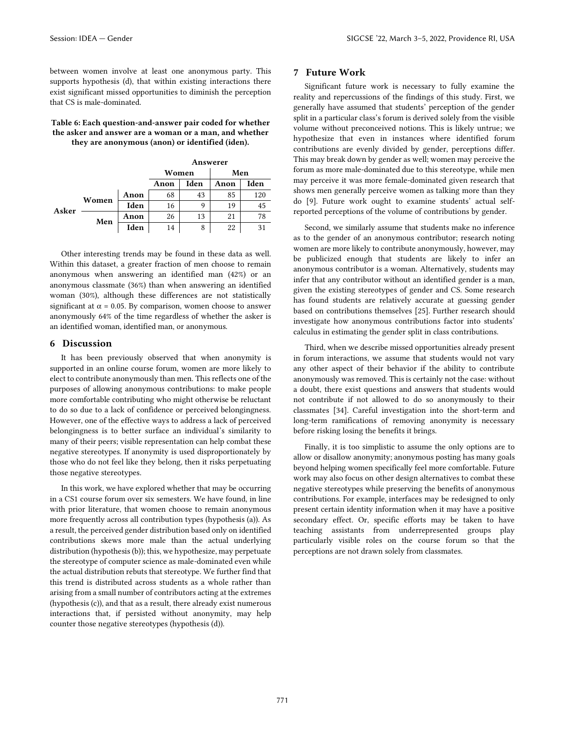between women involve at least one anonymous party. This supports hypothesis (d), that within existing interactions there exist significant missed opportunities to diminish the perception that CS is male-dominated.

#### Table 6: Each question-and-answer pair coded for whether the asker and answer are a woman or a man, and whether they are anonymous (anon) or identified (iden).

|       |       |      | Answerer |      |      |      |
|-------|-------|------|----------|------|------|------|
|       |       |      | Women    |      | Men  |      |
|       |       |      | Anon     | Iden | Anon | Iden |
| Asker | Women | Anon | 68       | 43   | 85   | 120  |
|       |       | Iden | 16       | 9    | 19   | 45   |
|       | Men   | Anon | 26       | 13   | 21   | 78   |
|       |       | Iden | 14       | 8    | 22   |      |

Other interesting trends may be found in these data as well. Within this dataset, a greater fraction of men choose to remain anonymous when answering an identified man (42%) or an anonymous classmate (36%) than when answering an identified woman (30%), although these differences are not statistically significant at  $\alpha$  = 0.05. By comparison, women choose to answer anonymously 64% of the time regardless of whether the asker is an identified woman, identified man, or anonymous.

## 6 Discussion

It has been previously observed that when anonymity is supported in an online course forum, women are more likely to elect to contribute anonymously than men. This reflects one of the purposes of allowing anonymous contributions: to make people more comfortable contributing who might otherwise be reluctant to do so due to a lack of confidence or perceived belongingness. However, one of the effective ways to address a lack of perceived belongingness is to better surface an individual's similarity to many of their peers; visible representation can help combat these negative stereotypes. If anonymity is used disproportionately by those who do not feel like they belong, then it risks perpetuating those negative stereotypes.

In this work, we have explored whether that may be occurring in a CS1 course forum over six semesters. We have found, in line with prior literature, that women choose to remain anonymous more frequently across all contribution types (hypothesis (a)). As a result, the perceived gender distribution based only on identified contributions skews more male than the actual underlying distribution (hypothesis (b)); this, we hypothesize, may perpetuate the stereotype of computer science as male-dominated even while the actual distribution rebuts that stereotype. We further find that this trend is distributed across students as a whole rather than arising from a small number of contributors acting at the extremes (hypothesis (c)), and that as a result, there already exist numerous interactions that, if persisted without anonymity, may help counter those negative stereotypes (hypothesis (d)).

## 7 Future Work

Significant future work is necessary to fully examine the reality and repercussions of the findings of this study. First, we generally have assumed that students' perception of the gender split in a particular class's forum is derived solely from the visible volume without preconceived notions. This is likely untrue; we hypothesize that even in instances where identified forum contributions are evenly divided by gender, perceptions differ. This may break down by gender as well; women may perceive the forum as more male-dominated due to this stereotype, while men may perceive it was more female-dominated given research that shows men generally perceive women as talking more than they do [\[9\].](#page-6-6) Future work ought to examine students' actual selfreported perceptions of the volume of contributions by gender.

Second, we similarly assume that students make no inference as to the gender of an anonymous contributor; research noting women are more likely to contribute anonymously, however, may be publicized enough that students are likely to infer an anonymous contributor is a woman. Alternatively, students may infer that any contributor without an identified gender is a man, given the existing stereotypes of gender and CS. Some research has found students are relatively accurate at guessing gender based on contributions themselves [\[25\].](#page-6-7) Further research should investigate how anonymous contributions factor into students' calculus in estimating the gender split in class contributions.

Third, when we describe missed opportunities already present in forum interactions, we assume that students would not vary any other aspect of their behavior if the ability to contribute anonymously was removed. This is certainly not the case: without a doubt, there exist questions and answers that students would not contribute if not allowed to do so anonymously to their classmates [\[34\].](#page-6-8) Careful investigation into the short-term and long-term ramifications of removing anonymity is necessary before risking losing the benefits it brings.

Finally, it is too simplistic to assume the only options are to allow or disallow anonymity; anonymous posting has many goals beyond helping women specifically feel more comfortable. Future work may also focus on other design alternatives to combat these negative stereotypes while preserving the benefits of anonymous contributions. For example, interfaces may be redesigned to only present certain identity information when it may have a positive secondary effect. Or, specific efforts may be taken to have teaching assistants from underrepresented groups play particularly visible roles on the course forum so that the perceptions are not drawn solely from classmates.